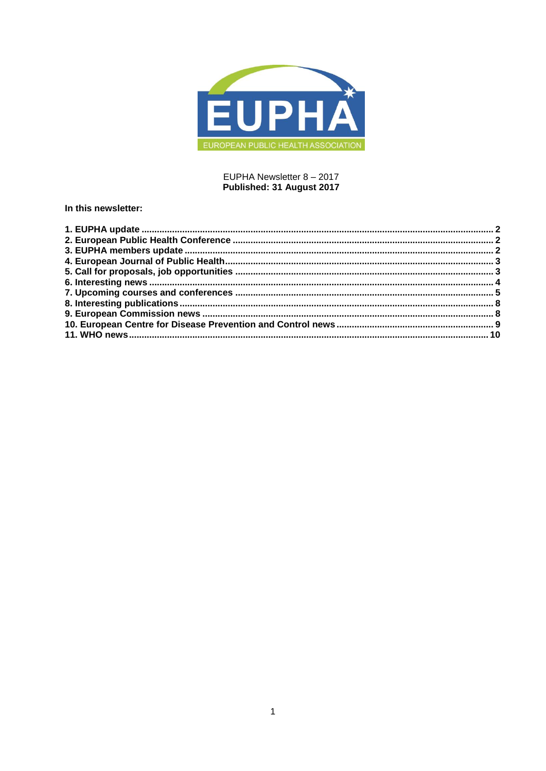

## EUPHA Newsletter 8 - 2017 Published: 31 August 2017

### In this newsletter: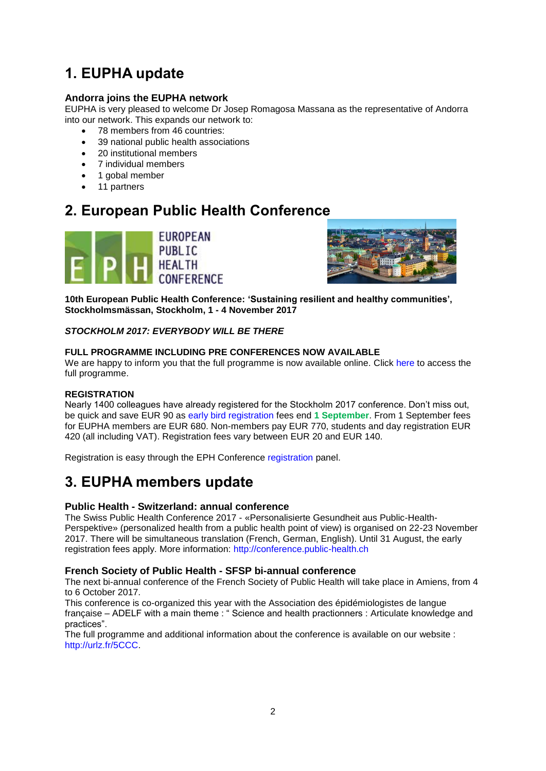# <span id="page-1-0"></span>**1. EUPHA update**

## **Andorra joins the EUPHA network**

EUPHA is very pleased to welcome Dr Josep Romagosa Massana as the representative of Andorra into our network. This expands our network to:

- 78 members from 46 countries:
- 39 national public health associations
- 20 institutional members
- 7 individual members
- 1 gobal member
- 11 partners

## <span id="page-1-1"></span>**2. European Public Health Conference**





**10th European Public Health Conference: 'Sustaining resilient and healthy communities', Stockholmsmässan, Stockholm, 1 - 4 November 2017**

### *STOCKHOLM 2017: EVERYBODY WILL BE THERE*

### **FULL PROGRAMME INCLUDING PRE CONFERENCES NOW AVAILABLE**

We are happy to inform you that the full programme is now available online. Click [here](https://ephconference.eu/2017-pre-conference-programme-327) to access the full programme.

### **REGISTRATION**

Nearly 1400 colleagues have already registered for the Stockholm 2017 conference. Don't miss out, be quick and save EUR 90 as [early bird registration](https://ephconference.eu/registration-2017---register-314) fees end **1 September**. From 1 September fees for EUPHA members are EUR 680. Non-members pay EUR 770, students and day registration EUR 420 (all including VAT). Registration fees vary between EUR 20 and EUR 140.

Registration is easy through the EPH Conference [registration](https://ephconference.eu/registration-2017---register-314) panel.

# <span id="page-1-2"></span>**3. EUPHA members update**

## **Public Health - Switzerland: annual conference**

The Swiss Public Health Conference 2017 - «Personalisierte Gesundheit aus Public-Health-Perspektive» (personalized health from a public health point of view) is organised on 22-23 November 2017. There will be simultaneous translation (French, German, English). Until 31 August, the early registration fees apply. More information: [http://conference.public-health.ch](http://conference.public-health.ch/)

## **French Society of Public Health - SFSP bi-annual conference**

The next bi-annual conference of the French Society of Public Health will take place in Amiens, from 4 to 6 October 2017.

This conference is co-organized this year with the Association des épidémiologistes de langue française – ADELF with a main theme : "Science and health practionners : Articulate knowledge and practices".

The full programme and additional information about the conference is available on our website : [http://urlz.fr/5CCC.](http://urlz.fr/5CCC)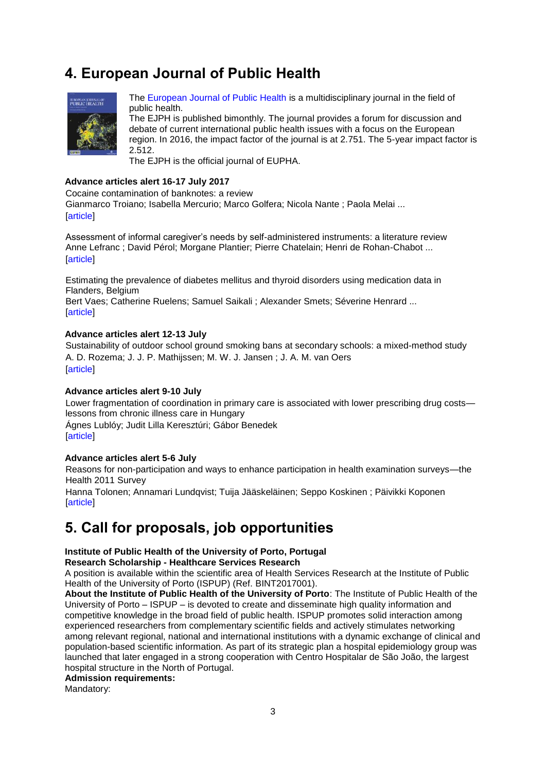# <span id="page-2-0"></span>**4. European Journal of Public Health**



[The European Journal of Public Health](http://eurpub.oxfordjournals.org/) is a multidisciplinary journal in the field of public health.

The EJPH is published bimonthly. The journal provides a forum for discussion and debate of current international public health issues with a focus on the European region. In 2016, the impact factor of the journal is at 2.751. The 5-year impact factor is 2.512.

The EJPH is the official journal of EUPHA.

#### **Advance articles alert 16-17 July 2017**

Cocaine contamination of banknotes: a review Gianmarco Troiano; Isabella Mercurio; Marco Golfera; Nicola Nante ; Paola Melai ... [\[article\]](https://academic.oup.com/eurpub/search-results?page=1&q=Cocaine%20contamination%20of%20banknotes%3A%20a%20review%20&fl_SiteID=5381&allJournals=1&SearchSourceType=1)

Assessment of informal caregiver's needs by self-administered instruments: a literature review Anne Lefranc ; David Pérol; Morgane Plantier; Pierre Chatelain; Henri de Rohan-Chabot ... **[\[article\]](https://academic.oup.com/eurpub/search-results?page=1&q=Assessment%20of%20informal%20caregiver%E2%80%99s%20needs%20by%20self-administered%20instruments%3A%20a%20literature%20review%20&fl_SiteID=5381&allJournals=1&SearchSourceType=1)** 

Estimating the prevalence of diabetes mellitus and thyroid disorders using medication data in Flanders, Belgium

Bert Vaes; Catherine Ruelens; Samuel Saikali ; Alexander Smets; Séverine Henrard ... [\[article\]](https://academic.oup.com/eurpub/search-results?page=1&q=Estimating%20the%20prevalence%20of%20diabetes%20mellitus%20and%20thyroid%20disorders%20using%20medication%20data%20in%20Flanders%2C%20Belgium%20&fl_SiteID=5381&allJournals=1&SearchSourceType=1)

#### **Advance articles alert 12-13 July**

Sustainability of outdoor school ground smoking bans at secondary schools: a mixed-method study [A. D. Rozema;](http://click.skem1.com/click/hmg7y-b9oi8m-6nsjr1i3/) [J. J. P. Mathijssen;](http://click.skem1.com/click/hmg7y-b9oi8n-6nsjr1i4/) M. W. J. Jansen ; [J. A. M. van Oers](http://click.skem1.com/click/hmg7y-b9oi8p-6nsjr1i6/) [\[article\]](http://click.skem1.com/click/hmg7y-b9oi8n-6nsjr1i4/)

#### **Advance articles alert 9-10 July**

Lower fragmentation of coordination in primary care is associated with lower prescribing drug costs lessons from chronic illness care in Hungary

[Ágnes Lublóy;](http://click.skem1.com/click/hk3y1-b98a99-6nsjr1i9/) [Judit Lilla Keresztúri;](http://click.skem1.com/click/hk3y1-b98a9a-6nsjr1i9/) [Gábor Benedek](http://click.skem1.com/click/hk3y1-b98a9b-6nsjr1i0/) [\[article\]](https://academic.oup.com/eurpub/search-results?f_Authors=%c3%81gnes+Lubl%c3%b3y)

#### **Advance articles alert 5-6 July**

Reasons for non-participation and ways to enhance participation in health examination surveys—the Health 2011 Survey

[Hanna Tolonen;](http://click.skem1.com/click/hhhd7-b8843i-6nsjr1i0/) [Annamari Lundqvist;](http://click.skem1.com/click/hhhd7-b8843j-6nsjr1i1/) [Tuija Jääskeläinen;](http://click.skem1.com/click/hhhd7-b8843k-6nsjr1i2/) [Seppo Koskinen](http://click.skem1.com/click/hhhd7-b8843l-6nsjr1i3/) ; [Päivikki Koponen](http://click.skem1.com/click/hhhd7-b8843m-6nsjr1i4/) **Tarticle1** 

## <span id="page-2-1"></span>**5. Call for proposals, job opportunities**

## **Institute of Public Health of the University of Porto, Portugal**

**Research Scholarship - Healthcare Services Research**

A position is available within the scientific area of Health Services Research at the Institute of Public Health of the University of Porto (ISPUP) (Ref. BINT2017001).

**About the Institute of Public Health of the University of Porto**: The Institute of Public Health of the University of Porto – ISPUP – is devoted to create and disseminate high quality information and competitive knowledge in the broad field of public health. ISPUP promotes solid interaction among experienced researchers from complementary scientific fields and actively stimulates networking among relevant regional, national and international institutions with a dynamic exchange of clinical and population-based scientific information. As part of its strategic plan a hospital epidemiology group was launched that later engaged in a strong cooperation with Centro Hospitalar de São João, the largest hospital structure in the North of Portugal.

#### **Admission requirements:**

Mandatory: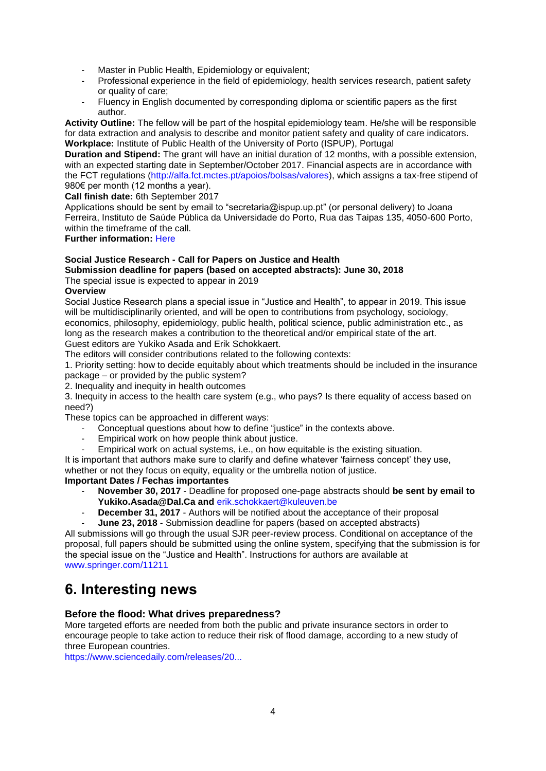- Master in Public Health, Epidemiology or equivalent;
- Professional experience in the field of epidemiology, health services research, patient safety or quality of care;
- Fluency in English documented by corresponding diploma or scientific papers as the first author.

**Activity Outline:** The fellow will be part of the hospital epidemiology team. He/she will be responsible for data extraction and analysis to describe and monitor patient safety and quality of care indicators. **Workplace:** Institute of Public Health of the University of Porto (ISPUP), Portugal

**Duration and Stipend:** The grant will have an initial duration of 12 months, with a possible extension, with an expected starting date in September/October 2017. Financial aspects are in accordance with the FCT regulations [\(http://alfa.fct.mctes.pt/apoios/bolsas/valores\)](http://alfa.fct.mctes.pt/apoios/bolsas/valores), which assigns a tax-free stipend of 980€ per month (12 months a year).

**Call finish date:** 6th September 2017

Applications should be sent by email to "secretaria@ispup.up.pt" (or personal delivery) to Joana Ferreira, Instituto de Saúde Pública da Universidade do Porto, Rua das Taipas 135, 4050-600 Porto, within the timeframe of the call.

**Further information:** [Here](http://ispup.up.pt/training-positions/scholarships/open-positions/258/)

## **Social Justice Research - Call for Papers on Justice and Health**

**Submission deadline for papers (based on accepted abstracts): June 30, 2018**

The special issue is expected to appear in 2019

#### **Overview**

Social Justice Research plans a special issue in "Justice and Health", to appear in 2019. This issue will be multidisciplinarily oriented, and will be open to contributions from psychology, sociology, economics, philosophy, epidemiology, public health, political science, public administration etc., as long as the research makes a contribution to the theoretical and/or empirical state of the art. Guest editors are Yukiko Asada and Erik Schokkaert.

The editors will consider contributions related to the following contexts:

1. Priority setting: how to decide equitably about which treatments should be included in the insurance package – or provided by the public system?

2. Inequality and inequity in health outcomes

3. Inequity in access to the health care system (e.g., who pays? Is there equality of access based on need?)

These topics can be approached in different ways:

- Conceptual questions about how to define "justice" in the contexts above.
- Empirical work on how people think about justice.<br>- Empirical work on actual systems i.e., on how equ
- Empirical work on actual systems, i.e., on how equitable is the existing situation.

It is important that authors make sure to clarify and define whatever 'fairness concept' they use, whether or not they focus on equity, equality or the umbrella notion of justice.

## **Important Dates / Fechas importantes**

- **November 30, 2017** Deadline for proposed one-page abstracts should **be sent by email to Yukiko.Asada@Dal.Ca and** [erik.schokkaert@kuleuven.be](http://euphapedia.eupha.org/newsletter/erik.schokkaert@kuleuven.be)
- **December 31, 2017** Authors will be notified about the acceptance of their proposal
- **June 23, 2018** Submission deadline for papers (based on accepted abstracts)

All submissions will go through the usual SJR peer-review process. Conditional on acceptance of the proposal, full papers should be submitted using the online system, specifying that the submission is for the special issue on the "Justice and Health". Instructions for authors are available at [www.springer.com/11211](http://www.springer.com/11211)

# <span id="page-3-0"></span>**6. Interesting news**

### **Before the flood: What drives preparedness?**

More targeted efforts are needed from both the public and private insurance sectors in order to encourage people to take action to reduce their risk of flood damage, according to a new study of three European countries.

[https://www.sciencedaily.com/releases/20...](https://www.sciencedaily.com/releases/2017/08/170821094257.htm?utm_source=feedburner&utm_medium=email&utm_campaign=Feed%3A+sciencedaily%2Fscience_society%2Fpublic_health+%28Public+Health+News+--+Scien)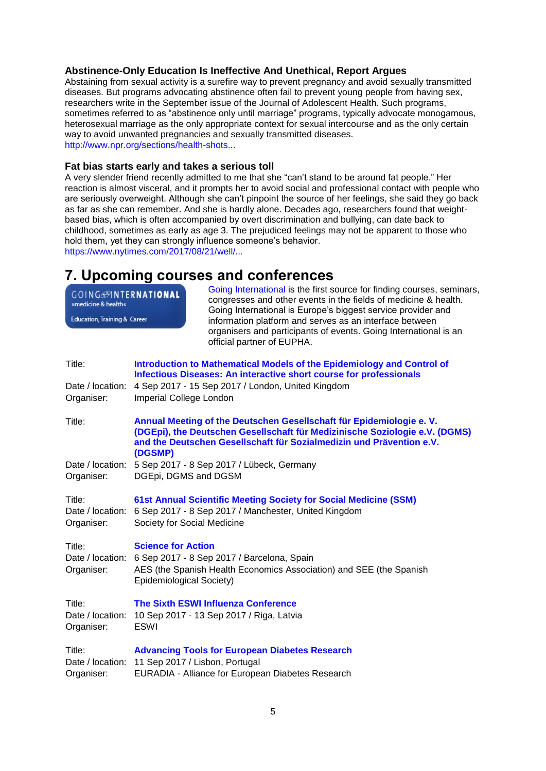### **Abstinence-Only Education Is Ineffective And Unethical, Report Argues**

Abstaining from sexual activity is a surefire way to prevent pregnancy and avoid sexually transmitted diseases. But programs advocating abstinence often fail to prevent young people from having sex, researchers write in the September issue of the Journal of Adolescent Health. Such programs, sometimes referred to as "abstinence only until marriage" programs, typically advocate monogamous, heterosexual marriage as the only appropriate context for sexual intercourse and as the only certain way to avoid unwanted pregnancies and sexually transmitted diseases. [http://www.npr.org/sections/health-shots...](http://www.npr.org/sections/health-shots/2017/08/23/545289168/abstinence-education-is-ineffective-and-unethical-report-argues)

#### **Fat bias starts early and takes a serious toll**

A very slender friend recently admitted to me that she "can't stand to be around fat people." Her reaction is almost visceral, and it prompts her to avoid social and professional contact with people who are seriously overweight. Although she can't pinpoint the source of her feelings, she said they go back as far as she can remember. And she is hardly alone. Decades ago, researchers found that weightbased bias, which is often accompanied by overt discrimination and bullying, can date back to childhood, sometimes as early as age 3. The prejudiced feelings may not be apparent to those who hold them, yet they can strongly influence someone's behavior.

[https://www.nytimes.com/2017/08/21/well/...](https://www.nytimes.com/2017/08/21/well/live/fat-bias-starts-early-and-takes-a-serious-toll.html?src=twr)

## <span id="page-4-0"></span>**7. Upcoming courses and conferences**

| <b>GOING</b> @INTERNATIONAL<br>»medicine & health«<br>Education, Training & Career | Going International is the first source for finding courses, seminars,<br>congresses and other events in the fields of medicine & health.<br>Going International is Europe's biggest service provider and<br>information platform and serves as an interface between |
|------------------------------------------------------------------------------------|----------------------------------------------------------------------------------------------------------------------------------------------------------------------------------------------------------------------------------------------------------------------|
|                                                                                    | organisers and participants of events. Going International is an<br>official partner of EUPHA.                                                                                                                                                                       |
| Title:                                                                             | Introduction to Mathematical Models of the Epidemiology and Control of<br><b>Infectious Diseases: An interactive short course for professionals</b>                                                                                                                  |
| Date / location:<br>Organiser:                                                     | 4 Sep 2017 - 15 Sep 2017 / London, United Kingdom<br>Imperial College London                                                                                                                                                                                         |
| Title:                                                                             | Annual Meeting of the Deutschen Gesellschaft für Epidemiologie e. V.<br>(DGEpi), the Deutschen Gesellschaft für Medizinische Soziologie e.V. (DGMS)<br>and the Deutschen Gesellschaft für Sozialmedizin und Prävention e.V.<br>(DGSMP)                               |
| Organiser:                                                                         | Date / location: 5 Sep 2017 - 8 Sep 2017 / Lübeck, Germany<br>DGEpi, DGMS and DGSM                                                                                                                                                                                   |
| Title:<br>Date / location:<br>Organiser:                                           | 61st Annual Scientific Meeting Society for Social Medicine (SSM)<br>6 Sep 2017 - 8 Sep 2017 / Manchester, United Kingdom<br>Society for Social Medicine                                                                                                              |
| Title:<br>Organiser:                                                               | <b>Science for Action</b><br>Date / location: 6 Sep 2017 - 8 Sep 2017 / Barcelona, Spain<br>AES (the Spanish Health Economics Association) and SEE (the Spanish<br>Epidemiological Society)                                                                          |
| Title:<br>Date / location:<br>Organiser:                                           | <b>The Sixth ESWI Influenza Conference</b><br>10 Sep 2017 - 13 Sep 2017 / Riga, Latvia<br><b>ESWI</b>                                                                                                                                                                |
| Title:<br>Date / location:<br>Organiser:                                           | <b>Advancing Tools for European Diabetes Research</b><br>11 Sep 2017 / Lisbon, Portugal<br>EURADIA - Alliance for European Diabetes Research                                                                                                                         |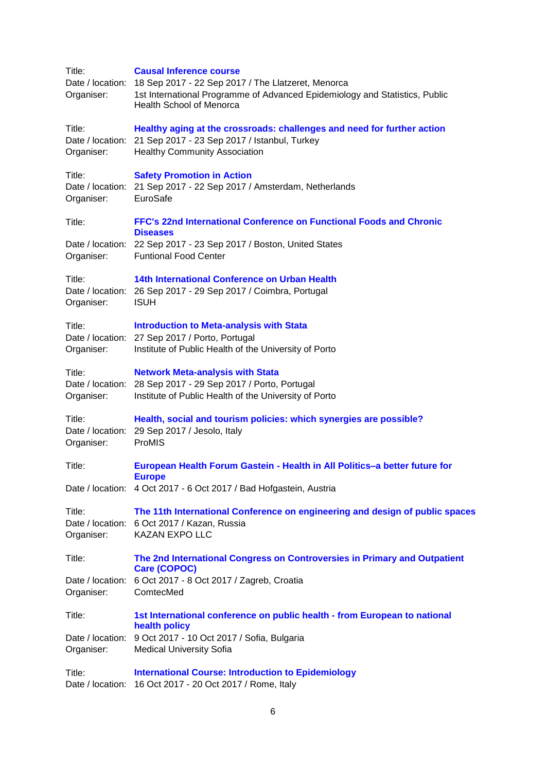| Title:<br>Organiser:                     | <b>Causal Inference course</b><br>Date / location: 18 Sep 2017 - 22 Sep 2017 / The Llatzeret, Menorca<br>1st International Programme of Advanced Epidemiology and Statistics, Public<br><b>Health School of Menorca</b> |
|------------------------------------------|-------------------------------------------------------------------------------------------------------------------------------------------------------------------------------------------------------------------------|
| Title:<br>Organiser:                     | Healthy aging at the crossroads: challenges and need for further action<br>Date / location: 21 Sep 2017 - 23 Sep 2017 / Istanbul, Turkey<br><b>Healthy Community Association</b>                                        |
| Title:<br>Organiser:                     | <b>Safety Promotion in Action</b><br>Date / location: 21 Sep 2017 - 22 Sep 2017 / Amsterdam, Netherlands<br>EuroSafe                                                                                                    |
| Title:                                   | FFC's 22nd International Conference on Functional Foods and Chronic<br><b>Diseases</b>                                                                                                                                  |
| Organiser:                               | Date / location: 22 Sep 2017 - 23 Sep 2017 / Boston, United States<br><b>Funtional Food Center</b>                                                                                                                      |
| Title:<br>Organiser:                     | 14th International Conference on Urban Health<br>Date / location: 26 Sep 2017 - 29 Sep 2017 / Coimbra, Portugal<br><b>ISUH</b>                                                                                          |
| Title:<br>Organiser:                     | <b>Introduction to Meta-analysis with Stata</b><br>Date / location: 27 Sep 2017 / Porto, Portugal<br>Institute of Public Health of the University of Porto                                                              |
| Title:<br>Organiser:                     | <b>Network Meta-analysis with Stata</b><br>Date / location: 28 Sep 2017 - 29 Sep 2017 / Porto, Portugal<br>Institute of Public Health of the University of Porto                                                        |
| Title:<br>Date / location:<br>Organiser: | Health, social and tourism policies: which synergies are possible?<br>29 Sep 2017 / Jesolo, Italy<br>ProMIS                                                                                                             |
| Title:                                   | European Health Forum Gastein - Health in All Politics-a better future for                                                                                                                                              |
|                                          | <b>Europe</b><br>Date / location: 4 Oct 2017 - 6 Oct 2017 / Bad Hofgastein, Austria                                                                                                                                     |
| Title:<br>Organiser:                     | The 11th International Conference on engineering and design of public spaces<br>Date / location: 6 Oct 2017 / Kazan, Russia<br><b>KAZAN EXPO LLC</b>                                                                    |
| Title:                                   | The 2nd International Congress on Controversies in Primary and Outpatient<br>Care (COPOC)                                                                                                                               |
| Organiser:                               | Date / location: 6 Oct 2017 - 8 Oct 2017 / Zagreb, Croatia<br>ComtecMed                                                                                                                                                 |
| Title:                                   | 1st International conference on public health - from European to national<br>health policy                                                                                                                              |
| Date / location:<br>Organiser:           | 9 Oct 2017 - 10 Oct 2017 / Sofia, Bulgaria<br><b>Medical University Sofia</b>                                                                                                                                           |
| Title:<br>Date / location:               | <b>International Course: Introduction to Epidemiology</b><br>16 Oct 2017 - 20 Oct 2017 / Rome, Italy                                                                                                                    |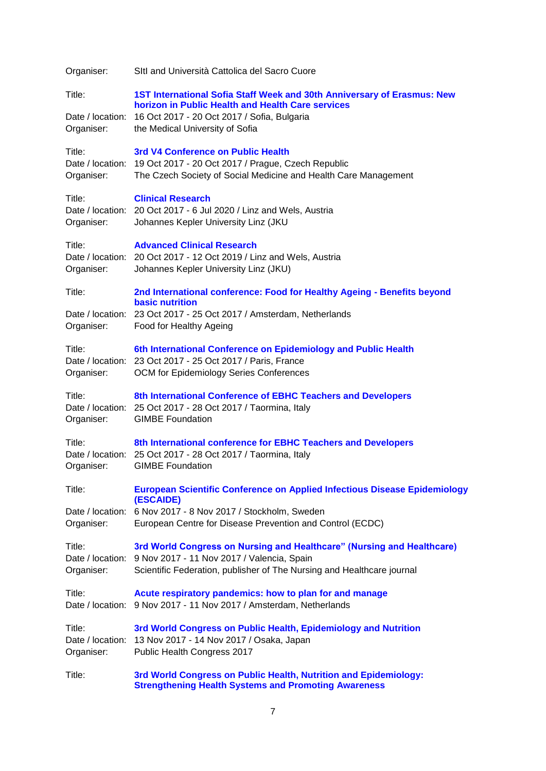| Organiser:                               | SItl and Università Cattolica del Sacro Cuore                                                                                                                                                                                   |
|------------------------------------------|---------------------------------------------------------------------------------------------------------------------------------------------------------------------------------------------------------------------------------|
| Title:<br>Organiser:                     | 1ST International Sofia Staff Week and 30th Anniversary of Erasmus: New<br>horizon in Public Health and Health Care services<br>Date / location: 16 Oct 2017 - 20 Oct 2017 / Sofia, Bulgaria<br>the Medical University of Sofia |
| Title:<br>Organiser:                     | 3rd V4 Conference on Public Health<br>Date / location: 19 Oct 2017 - 20 Oct 2017 / Prague, Czech Republic<br>The Czech Society of Social Medicine and Health Care Management                                                    |
| Title:<br>Organiser:                     | <b>Clinical Research</b><br>Date / location: 20 Oct 2017 - 6 Jul 2020 / Linz and Wels, Austria<br>Johannes Kepler University Linz (JKU                                                                                          |
| Title:<br>Organiser:                     | <b>Advanced Clinical Research</b><br>Date / location: 20 Oct 2017 - 12 Oct 2019 / Linz and Wels, Austria<br>Johannes Kepler University Linz (JKU)                                                                               |
| Title:                                   | 2nd International conference: Food for Healthy Ageing - Benefits beyond                                                                                                                                                         |
| Organiser:                               | <b>basic nutrition</b><br>Date / location: 23 Oct 2017 - 25 Oct 2017 / Amsterdam, Netherlands<br>Food for Healthy Ageing                                                                                                        |
| Title:<br>Organiser:                     | 6th International Conference on Epidemiology and Public Health<br>Date / location: 23 Oct 2017 - 25 Oct 2017 / Paris, France<br>OCM for Epidemiology Series Conferences                                                         |
| Title:<br>Organiser:                     | 8th International Conference of EBHC Teachers and Developers<br>Date / location: 25 Oct 2017 - 28 Oct 2017 / Taormina, Italy<br><b>GIMBE Foundation</b>                                                                         |
| Title:<br>Organiser:                     | 8th International conference for EBHC Teachers and Developers<br>Date / location: 25 Oct 2017 - 28 Oct 2017 / Taormina, Italy<br><b>GIMBE Foundation</b>                                                                        |
| Title:                                   | <b>European Scientific Conference on Applied Infectious Disease Epidemiology</b>                                                                                                                                                |
| Organiser:                               | (ESCAIDE)<br>Date / location: 6 Nov 2017 - 8 Nov 2017 / Stockholm, Sweden<br>European Centre for Disease Prevention and Control (ECDC)                                                                                          |
| Title:<br>Date / location:<br>Organiser: | 3rd World Congress on Nursing and Healthcare" (Nursing and Healthcare)<br>9 Nov 2017 - 11 Nov 2017 / Valencia, Spain<br>Scientific Federation, publisher of The Nursing and Healthcare journal                                  |
| Title:                                   | Acute respiratory pandemics: how to plan for and manage<br>Date / location: 9 Nov 2017 - 11 Nov 2017 / Amsterdam, Netherlands                                                                                                   |
| Title:<br>Organiser:                     | 3rd World Congress on Public Health, Epidemiology and Nutrition<br>Date / location: 13 Nov 2017 - 14 Nov 2017 / Osaka, Japan<br>Public Health Congress 2017                                                                     |
| Title:                                   | 3rd World Congress on Public Health, Nutrition and Epidemiology:<br><b>Strengthening Health Systems and Promoting Awareness</b>                                                                                                 |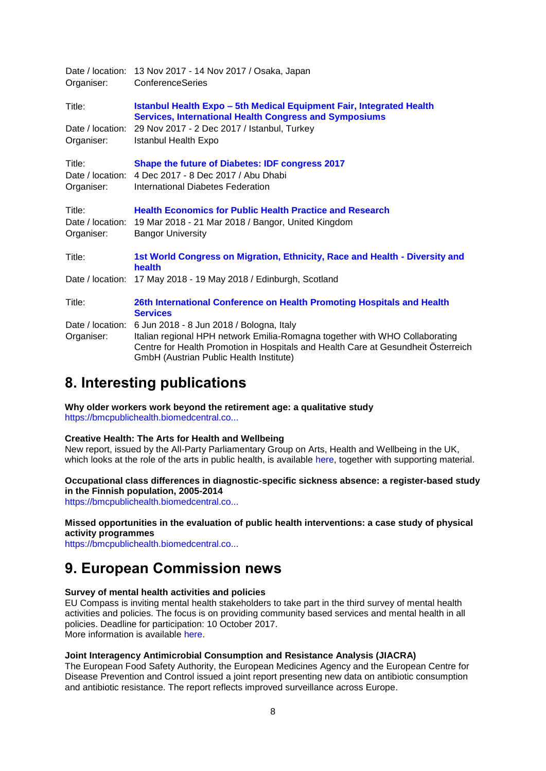| Date / location: 13 Nov 2017 - 14 Nov 2017 / Osaka, Japan<br>ConferenceSeries                                                                                                                                                                           |
|---------------------------------------------------------------------------------------------------------------------------------------------------------------------------------------------------------------------------------------------------------|
| Istanbul Health Expo - 5th Medical Equipment Fair, Integrated Health<br><b>Services, International Health Congress and Symposiums</b>                                                                                                                   |
| 29 Nov 2017 - 2 Dec 2017 / Istanbul, Turkey<br><b>Istanbul Health Expo</b>                                                                                                                                                                              |
| Shape the future of Diabetes: IDF congress 2017<br>4 Dec 2017 - 8 Dec 2017 / Abu Dhabi<br>Date / location:<br>International Diabetes Federation                                                                                                         |
| <b>Health Economics for Public Health Practice and Research</b><br>19 Mar 2018 - 21 Mar 2018 / Bangor, United Kingdom<br><b>Bangor University</b>                                                                                                       |
| 1st World Congress on Migration, Ethnicity, Race and Health - Diversity and<br>health                                                                                                                                                                   |
| Date / location:<br>17 May 2018 - 19 May 2018 / Edinburgh, Scotland                                                                                                                                                                                     |
| 26th International Conference on Health Promoting Hospitals and Health<br><b>Services</b>                                                                                                                                                               |
| 6 Jun 2018 - 8 Jun 2018 / Bologna, Italy<br>Italian regional HPH network Emilia-Romagna together with WHO Collaborating<br>Centre for Health Promotion in Hospitals and Health Care at Gesundheit Österreich<br>GmbH (Austrian Public Health Institute) |
|                                                                                                                                                                                                                                                         |

## <span id="page-7-0"></span>**8. Interesting publications**

**Why older workers work beyond the retirement age: a qualitative study** [https://bmcpublichealth.biomedcentral.co...](https://bmcpublichealth.biomedcentral.com/articles/10.1186/s12889-017-4675-z)

#### **Creative Health: The Arts for Health and Wellbeing**

New report, issued by the All-Party Parliamentary Group on Arts, Health and Wellbeing in the UK, which looks at the role of the arts in public health, is available [here,](http://www.artshealthandwellbeing.org.uk/appg-inquiry/) together with supporting material.

**Occupational class differences in diagnostic-specific sickness absence: a register-based study in the Finnish population, 2005-2014**

[https://bmcpublichealth.biomedcentral.co...](https://bmcpublichealth.biomedcentral.com/articles/10.1186/s12889-017-4674-0)

#### **Missed opportunities in the evaluation of public health interventions: a case study of physical activity programmes**

[https://bmcpublichealth.biomedcentral.co...](https://bmcpublichealth.biomedcentral.com/articles/10.1186/s12889-017-4683-z)

## <span id="page-7-1"></span>**9. European Commission news**

#### **Survey of mental health activities and policies**

EU Compass is inviting mental health stakeholders to take part in the third survey of mental health activities and policies. The focus is on providing community based services and mental health in all policies. Deadline for participation: 10 October 2017. More information is available [here.](https://www.webropolsurveys.com/Answer/SurveyParticipation.aspx?SDID=Fin1339129andSID=918b2fb0-45b7-4af6-b09d-624f32daa26danddy=1957710205)

### **Joint Interagency Antimicrobial Consumption and Resistance Analysis (JIACRA)**

The European Food Safety Authority, the European Medicines Agency and the European Centre for Disease Prevention and Control issued a joint report presenting new data on antibiotic consumption and antibiotic resistance. The report reflects improved surveillance across Europe.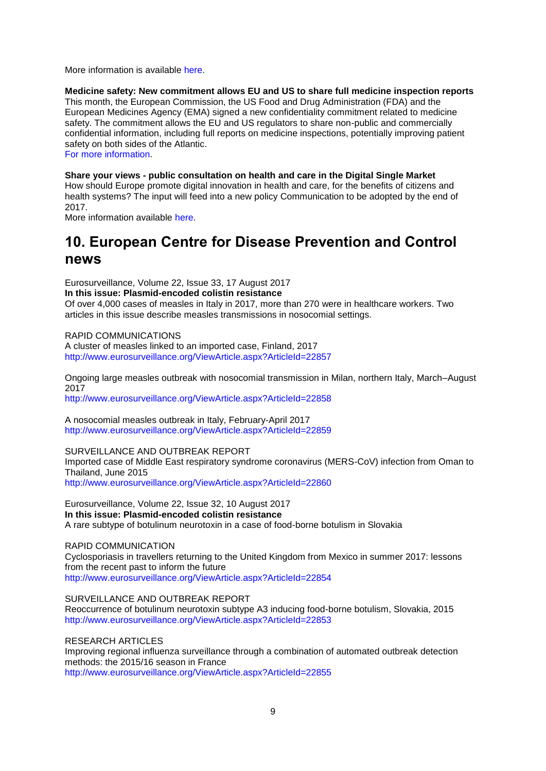More information is available [here.](http://ec.europa.eu/newsroom/dae/redirection.cfm?item_id=126929andnewsletter=260andlang=default)

**Medicine safety: New commitment allows EU and US to share full medicine inspection reports**  This month, the European Commission, the US Food and Drug Administration (FDA) and the European Medicines Agency (EMA) signed a new confidentiality commitment related to medicine safety. The commitment allows the EU and US regulators to share non-public and commercially confidential information, including full reports on medicine inspections, potentially improving patient safety on both sides of the Atlantic.

[For more information.](https://ec.europa.eu/health/human-use/quality_en#euus)

**Share your views - public consultation on health and care in the Digital Single Market** How should Europe promote digital innovation in health and care, for the benefits of citizens and health systems? The input will feed into a new policy Communication to be adopted by the end of 2017.

More information available [here.](http://ec.europa.eu/newsroom/dae/redirection.cfm?item_id=126917andnewsletter=260andlang=default)

## <span id="page-8-0"></span>**10. European Centre for Disease Prevention and Control news**

Eurosurveillance, Volume 22, Issue 33, 17 August 2017 **In this issue: Plasmid-encoded colistin resistance**

Of over 4,000 cases of measles in Italy in 2017, more than 270 were in healthcare workers. Two articles in this issue describe measles transmissions in nosocomial settings.

RAPID COMMUNICATIONS

A cluster of measles linked to an imported case, Finland, 2017 <http://www.eurosurveillance.org/ViewArticle.aspx?ArticleId=22857>

Ongoing large measles outbreak with nosocomial transmission in Milan, northern Italy, March–August 2017 <http://www.eurosurveillance.org/ViewArticle.aspx?ArticleId=22858>

A nosocomial measles outbreak in Italy, February-April 2017 <http://www.eurosurveillance.org/ViewArticle.aspx?ArticleId=22859>

SURVEILLANCE AND OUTBREAK REPORT Imported case of Middle East respiratory syndrome coronavirus (MERS-CoV) infection from Oman to Thailand, June 2015 <http://www.eurosurveillance.org/ViewArticle.aspx?ArticleId=22860>

Eurosurveillance, Volume 22, Issue 32, 10 August 2017 **In this issue: Plasmid-encoded colistin resistance** A rare subtype of botulinum neurotoxin in a case of food-borne botulism in Slovakia

RAPID COMMUNICATION Cyclosporiasis in travellers returning to the United Kingdom from Mexico in summer 2017: lessons from the recent past to inform the future <http://www.eurosurveillance.org/ViewArticle.aspx?ArticleId=22854>

SURVEILLANCE AND OUTBREAK REPORT

Reoccurrence of botulinum neurotoxin subtype A3 inducing food-borne botulism, Slovakia, 2015 <http://www.eurosurveillance.org/ViewArticle.aspx?ArticleId=22853>

RESEARCH ARTICLES

Improving regional influenza surveillance through a combination of automated outbreak detection methods: the 2015/16 season in France <http://www.eurosurveillance.org/ViewArticle.aspx?ArticleId=22855>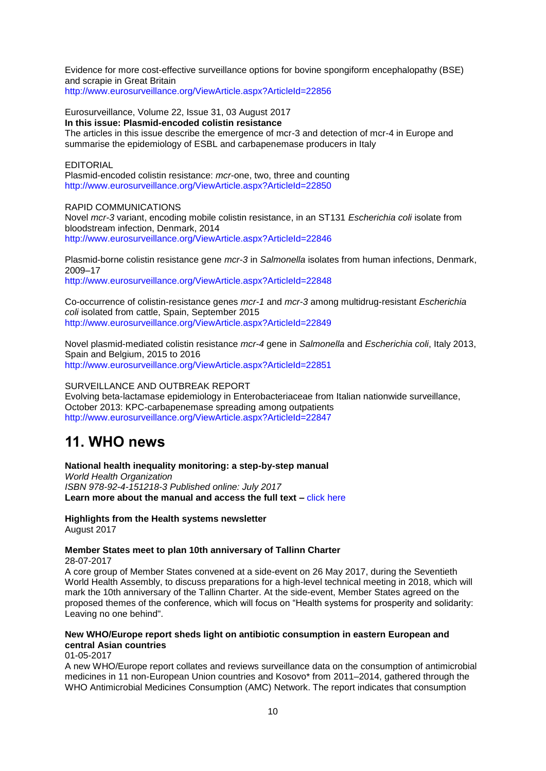Evidence for more cost-effective surveillance options for bovine spongiform encephalopathy (BSE) and scrapie in Great Britain

<http://www.eurosurveillance.org/ViewArticle.aspx?ArticleId=22856>

Eurosurveillance, Volume 22, Issue 31, 03 August 2017 **In this issue: Plasmid-encoded colistin resistance** The articles in this issue describe the emergence of mcr-3 and detection of mcr-4 in Europe and summarise the epidemiology of ESBL and carbapenemase producers in Italy

#### **EDITORIAL**

Plasmid-encoded colistin resistance: *mcr*-one, two, three and counting <http://www.eurosurveillance.org/ViewArticle.aspx?ArticleId=22850>

#### RAPID COMMUNICATIONS

Novel *mcr-3* variant, encoding mobile colistin resistance, in an ST131 *Escherichia coli* isolate from bloodstream infection, Denmark, 2014 <http://www.eurosurveillance.org/ViewArticle.aspx?ArticleId=22846>

Plasmid-borne colistin resistance gene *mcr-3* in *Salmonella* isolates from human infections, Denmark, 2009–17

<http://www.eurosurveillance.org/ViewArticle.aspx?ArticleId=22848>

Co-occurrence of colistin-resistance genes *mcr-1* and *mcr-3* among multidrug-resistant *Escherichia coli* isolated from cattle, Spain, September 2015 <http://www.eurosurveillance.org/ViewArticle.aspx?ArticleId=22849>

Novel plasmid-mediated colistin resistance *mcr-4* gene in *Salmonella* and *Escherichia coli*, Italy 2013, Spain and Belgium, 2015 to 2016 <http://www.eurosurveillance.org/ViewArticle.aspx?ArticleId=22851>

### SURVEILLANCE AND OUTBREAK REPORT

Evolving beta-lactamase epidemiology in Enterobacteriaceae from Italian nationwide surveillance, October 2013: KPC-carbapenemase spreading among outpatients <http://www.eurosurveillance.org/ViewArticle.aspx?ArticleId=22847>

## <span id="page-9-0"></span>**11. WHO news**

### **National health inequality monitoring: a step-by-step manual**

*World Health Organization ISBN 978-92-4-151218-3 Published online: July 2017* **Learn more about the manual and access the full text –** [click here](http://bit.ly/2tSwEeI)

**Highlights from the Health systems newsletter** August 2017

#### **[Member States meet to plan 10th anniversary of Tallinn Charter](http://who.us4.list-manage1.com/track/click?u=bb832ff4c9f8efad547ffcf69&id=c56d813998&e=58ab27574e)** 28-07-2017

A core group of Member States convened at a side-event on 26 May 2017, during the Seventieth World Health Assembly, to discuss preparations for a high-level technical meeting in 2018, which will mark the 10th anniversary of the Tallinn Charter. At the side-event, Member States agreed on the proposed themes of the conference, which will focus on "Health systems for prosperity and solidarity: Leaving no one behind".

### **[New WHO/Europe report sheds light on antibiotic consumption in eastern European and](http://who.us4.list-manage.com/track/click?u=bb832ff4c9f8efad547ffcf69&id=2207f07cba&e=58ab27574e)  [central Asian countries](http://who.us4.list-manage.com/track/click?u=bb832ff4c9f8efad547ffcf69&id=2207f07cba&e=58ab27574e)**

01-05-2017

A new WHO/Europe report collates and reviews surveillance data on the consumption of antimicrobial medicines in 11 non-European Union countries and Kosovo\* from 2011–2014, gathered through the WHO Antimicrobial Medicines Consumption (AMC) Network. The report indicates that consumption